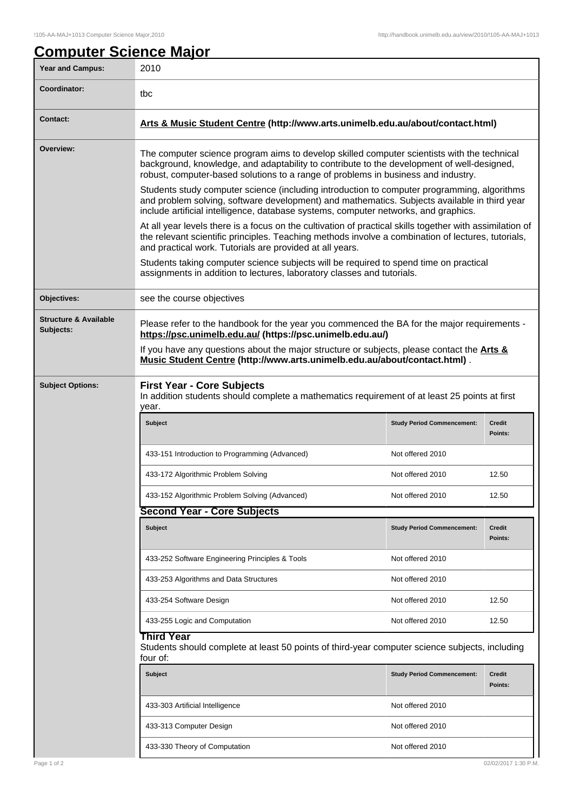| <b>Year and Campus:</b>                       | 2010                                                                                                                                                                                                                                                                               |                                   |                          |  |  |
|-----------------------------------------------|------------------------------------------------------------------------------------------------------------------------------------------------------------------------------------------------------------------------------------------------------------------------------------|-----------------------------------|--------------------------|--|--|
| Coordinator:                                  | tbc                                                                                                                                                                                                                                                                                |                                   |                          |  |  |
| <b>Contact:</b>                               | Arts & Music Student Centre (http://www.arts.unimelb.edu.au/about/contact.html)                                                                                                                                                                                                    |                                   |                          |  |  |
| Overview:                                     | The computer science program aims to develop skilled computer scientists with the technical<br>background, knowledge, and adaptability to contribute to the development of well-designed,<br>robust, computer-based solutions to a range of problems in business and industry.     |                                   |                          |  |  |
|                                               | Students study computer science (including introduction to computer programming, algorithms<br>and problem solving, software development) and mathematics. Subjects available in third year<br>include artificial intelligence, database systems, computer networks, and graphics. |                                   |                          |  |  |
|                                               | At all year levels there is a focus on the cultivation of practical skills together with assimilation of<br>the relevant scientific principles. Teaching methods involve a combination of lectures, tutorials,<br>and practical work. Tutorials are provided at all years.         |                                   |                          |  |  |
|                                               | Students taking computer science subjects will be required to spend time on practical<br>assignments in addition to lectures, laboratory classes and tutorials.                                                                                                                    |                                   |                          |  |  |
| Objectives:                                   | see the course objectives                                                                                                                                                                                                                                                          |                                   |                          |  |  |
| <b>Structure &amp; Available</b><br>Subjects: | Please refer to the handbook for the year you commenced the BA for the major requirements -<br>https://psc.unimelb.edu.au/ (https://psc.unimelb.edu.au/)                                                                                                                           |                                   |                          |  |  |
|                                               | If you have any questions about the major structure or subjects, please contact the <b>Arts &amp;</b><br>Music Student Centre (http://www.arts.unimelb.edu.au/about/contact.html).                                                                                                 |                                   |                          |  |  |
| <b>Subject Options:</b>                       | <b>First Year - Core Subjects</b><br>In addition students should complete a mathematics requirement of at least 25 points at first<br>year.                                                                                                                                        |                                   |                          |  |  |
|                                               | Subject                                                                                                                                                                                                                                                                            | <b>Study Period Commencement:</b> | <b>Credit</b><br>Points: |  |  |
|                                               | 433-151 Introduction to Programming (Advanced)                                                                                                                                                                                                                                     | Not offered 2010                  |                          |  |  |
|                                               | 433-172 Algorithmic Problem Solving                                                                                                                                                                                                                                                | Not offered 2010                  | 12.50                    |  |  |
|                                               | 433-152 Algorithmic Problem Solving (Advanced)                                                                                                                                                                                                                                     | Not offered 2010                  | 12.50                    |  |  |
|                                               | <b>Second Year - Core Subjects</b>                                                                                                                                                                                                                                                 |                                   |                          |  |  |
|                                               | Subject                                                                                                                                                                                                                                                                            | <b>Study Period Commencement:</b> | <b>Credit</b><br>Points: |  |  |
|                                               | 433-252 Software Engineering Principles & Tools                                                                                                                                                                                                                                    | Not offered 2010                  |                          |  |  |
|                                               | 433-253 Algorithms and Data Structures                                                                                                                                                                                                                                             | Not offered 2010                  |                          |  |  |
|                                               | 433-254 Software Design                                                                                                                                                                                                                                                            | Not offered 2010                  | 12.50                    |  |  |
|                                               | 433-255 Logic and Computation                                                                                                                                                                                                                                                      | Not offered 2010                  | 12.50                    |  |  |
|                                               | Third Year<br>Students should complete at least 50 points of third-year computer science subjects, including<br>four of:                                                                                                                                                           |                                   |                          |  |  |
|                                               | <b>Subject</b>                                                                                                                                                                                                                                                                     | <b>Study Period Commencement:</b> | Credit<br>Points:        |  |  |
|                                               | 433-303 Artificial Intelligence                                                                                                                                                                                                                                                    | Not offered 2010                  |                          |  |  |
|                                               | 433-313 Computer Design                                                                                                                                                                                                                                                            | Not offered 2010                  |                          |  |  |
|                                               |                                                                                                                                                                                                                                                                                    | Not offered 2010                  |                          |  |  |